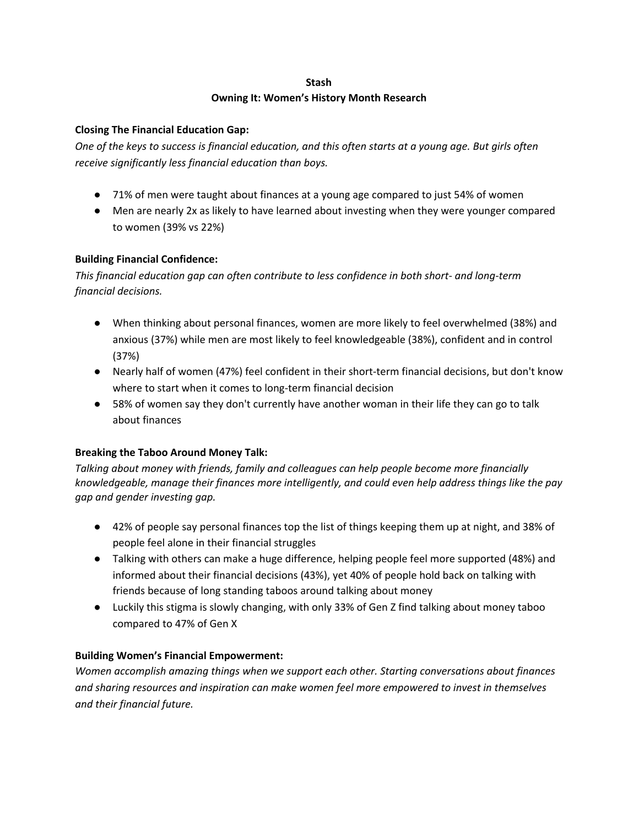#### **Stash**

### **Owning It: Women's History Month Research**

### **Closing The Financial Education Gap:**

One of the keys to success is financial education, and this often starts at a young age. But girls often *receive significantly less financial education than boys.*

- 71% of men were taught about finances at a young age compared to just 54% of women
- Men are nearly 2x as likely to have learned about investing when they were younger compared to women (39% vs 22%)

### **Building Financial Confidence:**

*This financial education gap can often contribute to less confidence in both short- and long-term financial decisions.*

- When thinking about personal finances, women are more likely to feel overwhelmed (38%) and anxious (37%) while men are most likely to feel knowledgeable (38%), confident and in control (37%)
- Nearly half of women (47%) feel confident in their short-term financial decisions, but don't know where to start when it comes to long-term financial decision
- 58% of women say they don't currently have another woman in their life they can go to talk about finances

# **Breaking the Taboo Around Money Talk:**

*Talking about money with friends, family and colleagues can help people become more financially knowledgeable, manage their finances more intelligently, and could even help address things like the pay gap and gender investing gap.*

- 42% of people say personal finances top the list of things keeping them up at night, and 38% of people feel alone in their financial struggles
- Talking with others can make a huge difference, helping people feel more supported (48%) and informed about their financial decisions (43%), yet 40% of people hold back on talking with friends because of long standing taboos around talking about money
- Luckily this stigma is slowly changing, with only 33% of Gen Z find talking about money taboo compared to 47% of Gen X

# **Building Women's Financial Empowerment:**

*Women accomplish amazing things when we support each other. Starting conversations about finances and sharing resources and inspiration can make women feel more empowered to invest in themselves and their financial future.*